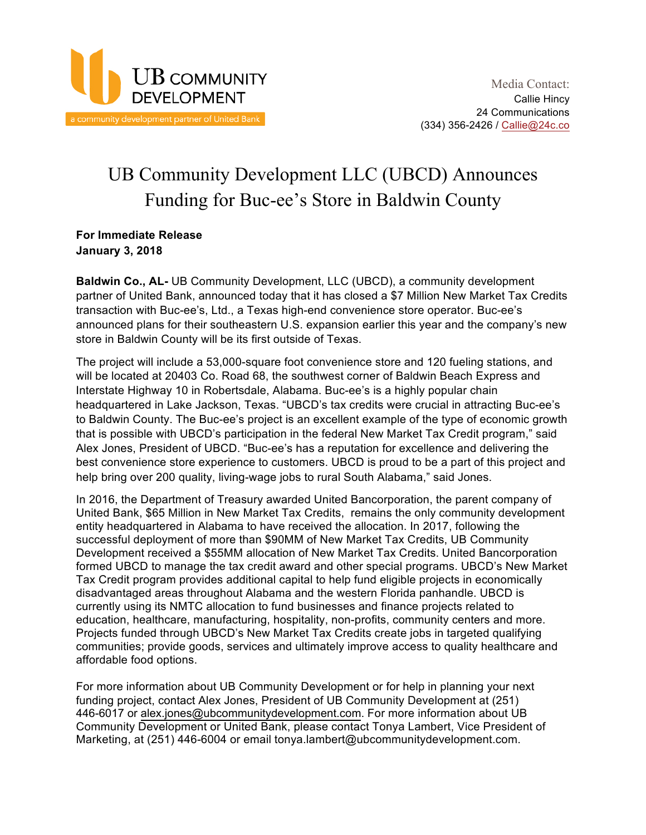

## UB Community Development LLC (UBCD) Announces Funding for Buc-ee's Store in Baldwin County

**For Immediate Release January 3, 2018**

**Baldwin Co., AL-** UB Community Development, LLC (UBCD), a community development partner of United Bank, announced today that it has closed a \$7 Million New Market Tax Credits transaction with Buc-ee's, Ltd., a Texas high-end convenience store operator. Buc-ee's announced plans for their southeastern U.S. expansion earlier this year and the company's new store in Baldwin County will be its first outside of Texas.

The project will include a 53,000-square foot convenience store and 120 fueling stations, and will be located at 20403 Co. Road 68, the southwest corner of Baldwin Beach Express and Interstate Highway 10 in Robertsdale, Alabama. Buc-ee's is a highly popular chain headquartered in Lake Jackson, Texas. "UBCD's tax credits were crucial in attracting Buc-ee's to Baldwin County. The Buc-ee's project is an excellent example of the type of economic growth that is possible with UBCD's participation in the federal New Market Tax Credit program," said Alex Jones, President of UBCD. "Buc-ee's has a reputation for excellence and delivering the best convenience store experience to customers. UBCD is proud to be a part of this project and help bring over 200 quality, living-wage jobs to rural South Alabama," said Jones.

In 2016, the Department of Treasury awarded United Bancorporation, the parent company of United Bank, \$65 Million in New Market Tax Credits, remains the only community development entity headquartered in Alabama to have received the allocation. In 2017, following the successful deployment of more than \$90MM of New Market Tax Credits, UB Community Development received a \$55MM allocation of New Market Tax Credits. United Bancorporation formed UBCD to manage the tax credit award and other special programs. UBCD's New Market Tax Credit program provides additional capital to help fund eligible projects in economically disadvantaged areas throughout Alabama and the western Florida panhandle. UBCD is currently using its NMTC allocation to fund businesses and finance projects related to education, healthcare, manufacturing, hospitality, non-profits, community centers and more. Projects funded through UBCD's New Market Tax Credits create jobs in targeted qualifying communities; provide goods, services and ultimately improve access to quality healthcare and affordable food options.

For more information about UB Community Development or for help in planning your next funding project, contact Alex Jones, President of UB Community Development at (251) 446-6017 or alex.jones@ubcommunitydevelopment.com. For more information about UB Community Development or United Bank, please contact Tonya Lambert, Vice President of Marketing, at (251) 446-6004 or email tonya.lambert@ubcommunitydevelopment.com.